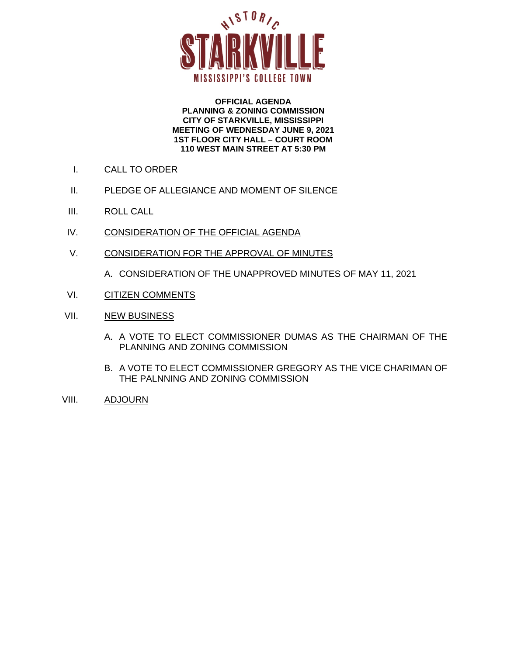

#### **OFFICIAL AGENDA PLANNING & ZONING COMMISSION CITY OF STARKVILLE, MISSISSIPPI MEETING OF WEDNESDAY JUNE 9, 2021 1ST FLOOR CITY HALL – COURT ROOM 110 WEST MAIN STREET AT 5:30 PM**

- I. CALL TO ORDER
- II. PLEDGE OF ALLEGIANCE AND MOMENT OF SILENCE
- III. ROLL CALL
- IV. CONSIDERATION OF THE OFFICIAL AGENDA
- V. CONSIDERATION FOR THE APPROVAL OF MINUTES

A. CONSIDERATION OF THE UNAPPROVED MINUTES OF MAY 11, 2021

- VI. CITIZEN COMMENTS
- VII. NEW BUSINESS
	- A. A VOTE TO ELECT COMMISSIONER DUMAS AS THE CHAIRMAN OF THE PLANNING AND ZONING COMMISSION
	- B. A VOTE TO ELECT COMMISSIONER GREGORY AS THE VICE CHARIMAN OF THE PALNNING AND ZONING COMMISSION
- VIII. ADJOURN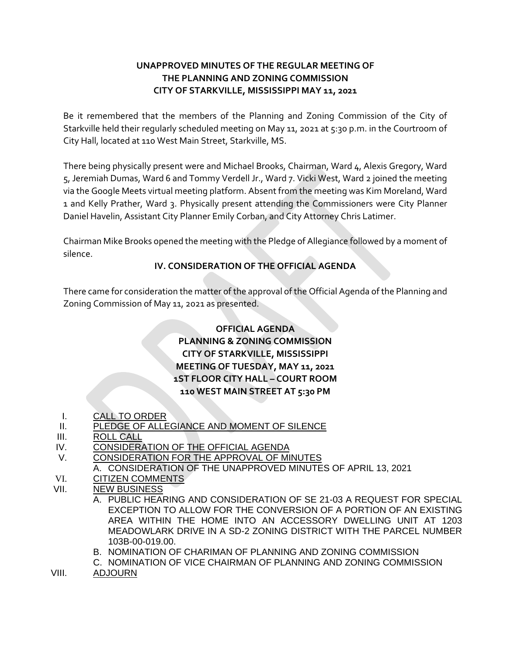## **UNAPPROVED MINUTES OF THE REGULAR MEETING OF THE PLANNING AND ZONING COMMISSION CITY OF STARKVILLE, MISSISSIPPI MAY 11, 2021**

Be it remembered that the members of the Planning and Zoning Commission of the City of Starkville held their regularly scheduled meeting on May 11, 2021 at 5:30 p.m. in the Courtroom of City Hall, located at 110 West Main Street, Starkville, MS.

There being physically present were and Michael Brooks, Chairman, Ward 4, Alexis Gregory, Ward 5, Jeremiah Dumas, Ward 6 and Tommy Verdell Jr., Ward 7. Vicki West, Ward 2 joined the meeting via the Google Meets virtual meeting platform. Absent from the meeting was Kim Moreland, Ward 1 and Kelly Prather, Ward 3. Physically present attending the Commissioners were City Planner Daniel Havelin, Assistant City Planner Emily Corban, and City Attorney Chris Latimer.

Chairman Mike Brooks opened the meeting with the Pledge of Allegiance followed by a moment of silence.

# **IV. CONSIDERATION OF THE OFFICIAL AGENDA**

There came for consideration the matter of the approval of the Official Agenda of the Planning and Zoning Commission of May 11, 2021 as presented.

# **OFFICIAL AGENDA PLANNING & ZONING COMMISSION CITY OF STARKVILLE, MISSISSIPPI MEETING OF TUESDAY, MAY 11, 2021 1ST FLOOR CITY HALL – COURT ROOM 110 WEST MAIN STREET AT 5:30 PM**

- I. CALL TO ORDER
- II. PLEDGE OF ALLEGIANCE AND MOMENT OF SILENCE
- III. ROLL CALL
- IV. CONSIDERATION OF THE OFFICIAL AGENDA
- V. CONSIDERATION FOR THE APPROVAL OF MINUTES
	- A. CONSIDERATION OF THE UNAPPROVED MINUTES OF APRIL 13, 2021
- VI. CITIZEN COMMENTS

#### VII. NEW BUSINESS

- A. PUBLIC HEARING AND CONSIDERATION OF SE 21-03 A REQUEST FOR SPECIAL EXCEPTION TO ALLOW FOR THE CONVERSION OF A PORTION OF AN EXISTING AREA WITHIN THE HOME INTO AN ACCESSORY DWELLING UNIT AT 1203 MEADOWLARK DRIVE IN A SD-2 ZONING DISTRICT WITH THE PARCEL NUMBER 103B-00-019.00.
- B. NOMINATION OF CHARIMAN OF PLANNING AND ZONING COMMISSION
- C. NOMINATION OF VICE CHAIRMAN OF PLANNING AND ZONING COMMISSION
- VIII. ADJOURN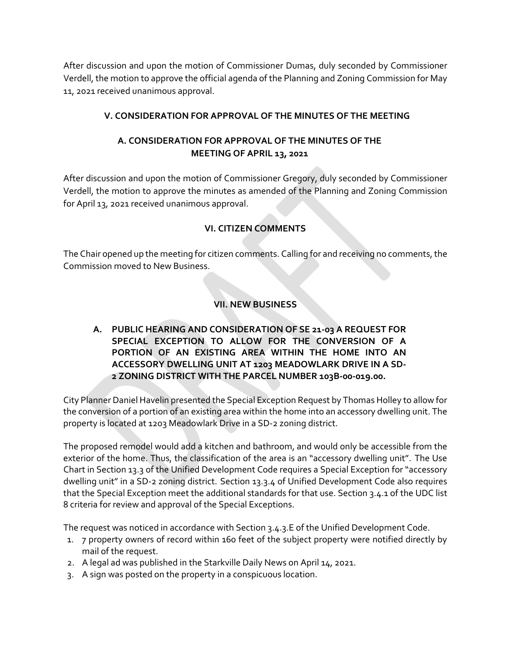After discussion and upon the motion of Commissioner Dumas, duly seconded by Commissioner Verdell, the motion to approve the official agenda of the Planning and Zoning Commission for May 11, 2021 received unanimous approval.

#### **V. CONSIDERATION FOR APPROVAL OF THE MINUTES OF THE MEETING**

## **A. CONSIDERATION FOR APPROVAL OF THE MINUTES OF THE MEETING OF APRIL 13, 2021**

After discussion and upon the motion of Commissioner Gregory, duly seconded by Commissioner Verdell, the motion to approve the minutes as amended of the Planning and Zoning Commission for April 13, 2021 received unanimous approval.

#### **VI. CITIZEN COMMENTS**

The Chair opened up the meeting for citizen comments. Calling for and receiving no comments, the Commission moved to New Business.

#### **VII. NEW BUSINESS**

#### **A. PUBLIC HEARING AND CONSIDERATION OF SE 21-03 A REQUEST FOR SPECIAL EXCEPTION TO ALLOW FOR THE CONVERSION OF A PORTION OF AN EXISTING AREA WITHIN THE HOME INTO AN ACCESSORY DWELLING UNIT AT 1203 MEADOWLARK DRIVE IN A SD-2 ZONING DISTRICT WITH THE PARCEL NUMBER 103B-00-019.00.**

City Planner Daniel Havelin presented the Special Exception Request by Thomas Holley to allow for the conversion of a portion of an existing area within the home into an accessory dwelling unit. The property is located at 1203 Meadowlark Drive in a SD-2 zoning district.

The proposed remodel would add a kitchen and bathroom, and would only be accessible from the exterior of the home. Thus, the classification of the area is an "accessory dwelling unit". The Use Chart in Section 13.3 of the Unified Development Code requires a Special Exception for "accessory dwelling unit" in a SD-2 zoning district. Section 13.3.4 of Unified Development Code also requires that the Special Exception meet the additional standards for that use. Section 3.4.1 of the UDC list 8 criteria for review and approval of the Special Exceptions.

The request was noticed in accordance with Section 3.4.3.E of the Unified Development Code.

- 1. 7 property owners of record within 160 feet of the subject property were notified directly by mail of the request.
- 2. A legal ad was published in the Starkville Daily News on April 14, 2021.
- 3. A sign was posted on the property in a conspicuous location.